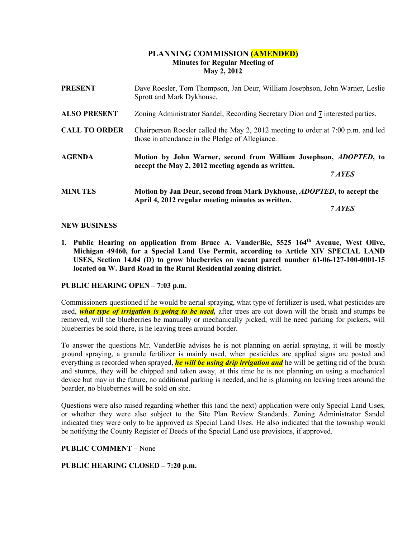# PLANNING COMMISSION (AMENDED) Minutes for Regular Meeting of May 2, 2012

| <b>PRESENT</b>       | Dave Roesler, Tom Thompson, Jan Deur, William Josephson, John Warner, Leslie<br>Sprott and Mark Dykhouse.                                |  |
|----------------------|------------------------------------------------------------------------------------------------------------------------------------------|--|
| <b>ALSO PRESENT</b>  | Zoning Administrator Sandel, Recording Secretary Dion and 7 interested parties.                                                          |  |
| <b>CALL TO ORDER</b> | Chairperson Roesler called the May 2, 2012 meeting to order at 7:00 p.m. and led<br>those in attendance in the Pledge of Allegiance.     |  |
| AGENDA               | Motion by John Warner, second from William Josephson, <i>ADOPTED</i> , to<br>accept the May 2, 2012 meeting agenda as written.<br>7 AYES |  |
| <b>MINUTES</b>       | Motion by Jan Deur, second from Mark Dykhouse, <i>ADOPTED</i> , to accept the                                                            |  |
|                      | April 4, 2012 regular meeting minutes as written.                                                                                        |  |
|                      | 7 AYES                                                                                                                                   |  |

#### NEW BUSINESS

1. Public Hearing on application from Bruce A. VanderBie, 5525 164<sup>th</sup> Avenue, West Olive, Michigan 49460, for a Special Land Use Permit, according to Article XIV SPECIAL LAND USES, Section 14.04 (D) to grow blueberries on vacant parcel number 61-06-127-100-0001-15 located on W. Bard Road in the Rural Residential zoning district.

## PUBLIC HEARING OPEN – 7:03 p.m.

Commissioners questioned if he would be aerial spraying, what type of fertilizer is used, what pesticides are used, *what type of irrigation is going to be used*, after trees are cut down will the brush and stumps be removed, will the blueberries be manually or mechanically picked, will he need parking for pickers, will blueberries be sold there, is he leaving trees around border.

To answer the questions Mr. VanderBie advises he is not planning on aerial spraying, it will be mostly ground spraying, a granule fertilizer is mainly used, when pesticides are applied signs are posted and everything is recorded when sprayed, **he will be using drip irrigation and** he will be getting rid of the brush and stumps, they will be chipped and taken away, at this time he is not planning on using a mechanical device but may in the future, no additional parking is needed, and he is planning on leaving trees around the boarder, no blueberries will be sold on site.

Questions were also raised regarding whether this (and the next) application were only Special Land Uses, or whether they were also subject to the Site Plan Review Standards. Zoning Administrator Sandel indicated they were only to be approved as Special Land Uses. He also indicated that the township would be notifying the County Register of Deeds of the Special Land use provisions, if approved.

#### PUBLIC COMMENT – None

## PUBLIC HEARING CLOSED – 7:20 p.m.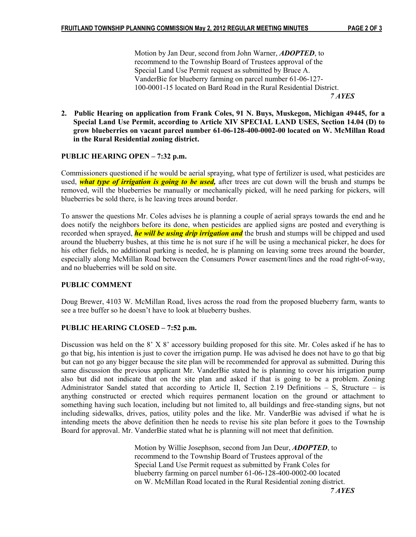Motion by Jan Deur, second from John Warner, **ADOPTED**, to recommend to the Township Board of Trustees approval of the Special Land Use Permit request as submitted by Bruce A. VanderBie for blueberry farming on parcel number 61-06-127- 100-0001-15 located on Bard Road in the Rural Residential District. 7 AYES

2. Public Hearing on application from Frank Coles, 91 N. Buys, Muskegon, Michigan 49445, for a Special Land Use Permit, according to Article XIV SPECIAL LAND USES, Section 14.04 (D) to grow blueberries on vacant parcel number 61-06-128-400-0002-00 located on W. McMillan Road in the Rural Residential zoning district.

## PUBLIC HEARING OPEN – 7:32 p.m.

Commissioners questioned if he would be aerial spraying, what type of fertilizer is used, what pesticides are used, *what type of irrigation is going to be used*, after trees are cut down will the brush and stumps be removed, will the blueberries be manually or mechanically picked, will he need parking for pickers, will blueberries be sold there, is he leaving trees around border.

To answer the questions Mr. Coles advises he is planning a couple of aerial sprays towards the end and he does notify the neighbors before its done, when pesticides are applied signs are posted and everything is recorded when sprayed, *he will be using drip irrigation and* the brush and stumps will be chipped and used around the blueberry bushes, at this time he is not sure if he will be using a mechanical picker, he does for his other fields, no additional parking is needed, he is planning on leaving some trees around the boarder, especially along McMillan Road between the Consumers Power easement/lines and the road right-of-way, and no blueberries will be sold on site.

## PUBLIC COMMENT

Doug Brewer, 4103 W. McMillan Road, lives across the road from the proposed blueberry farm, wants to see a tree buffer so he doesn't have to look at blueberry bushes.

## PUBLIC HEARING CLOSED – 7:52 p.m.

Discussion was held on the 8' X 8' accessory building proposed for this site. Mr. Coles asked if he has to go that big, his intention is just to cover the irrigation pump. He was advised he does not have to go that big but can not go any bigger because the site plan will be recommended for approval as submitted. During this same discussion the previous applicant Mr. VanderBie stated he is planning to cover his irrigation pump also but did not indicate that on the site plan and asked if that is going to be a problem. Zoning Administrator Sandel stated that according to Article II, Section 2.19 Definitions – S, Structure – is anything constructed or erected which requires permanent location on the ground or attachment to something having such location, including but not limited to, all buildings and free-standing signs, but not including sidewalks, drives, patios, utility poles and the like. Mr. VanderBie was advised if what he is intending meets the above definition then he needs to revise his site plan before it goes to the Township Board for approval. Mr. VanderBie stated what he is planning will not meet that definition.

> Motion by Willie Josephson, second from Jan Deur, **ADOPTED**, to recommend to the Township Board of Trustees approval of the Special Land Use Permit request as submitted by Frank Coles for blueberry farming on parcel number 61-06-128-400-0002-00 located on W. McMillan Road located in the Rural Residential zoning district.